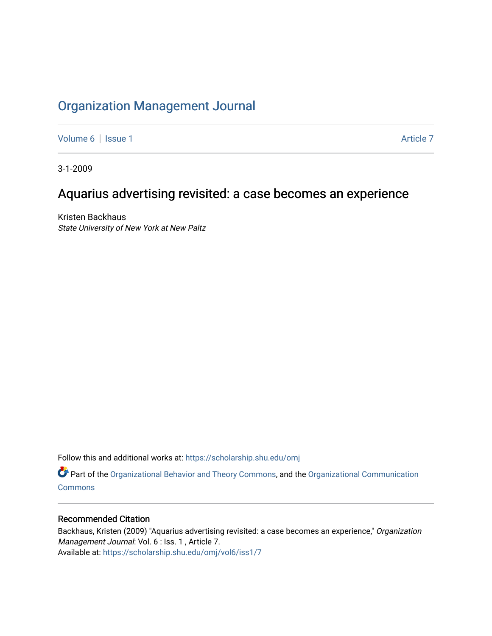# [Organization Management Journal](https://scholarship.shu.edu/omj)

[Volume 6](https://scholarship.shu.edu/omj/vol6) | [Issue 1](https://scholarship.shu.edu/omj/vol6/iss1) Article 7

3-1-2009

# Aquarius advertising revisited: a case becomes an experience

Kristen Backhaus State University of New York at New Paltz

Follow this and additional works at: [https://scholarship.shu.edu/omj](https://scholarship.shu.edu/omj?utm_source=scholarship.shu.edu%2Fomj%2Fvol6%2Fiss1%2F7&utm_medium=PDF&utm_campaign=PDFCoverPages) 

Part of the [Organizational Behavior and Theory Commons,](http://network.bepress.com/hgg/discipline/639?utm_source=scholarship.shu.edu%2Fomj%2Fvol6%2Fiss1%2F7&utm_medium=PDF&utm_campaign=PDFCoverPages) and the [Organizational Communication](http://network.bepress.com/hgg/discipline/335?utm_source=scholarship.shu.edu%2Fomj%2Fvol6%2Fiss1%2F7&utm_medium=PDF&utm_campaign=PDFCoverPages) **[Commons](http://network.bepress.com/hgg/discipline/335?utm_source=scholarship.shu.edu%2Fomj%2Fvol6%2Fiss1%2F7&utm_medium=PDF&utm_campaign=PDFCoverPages)** 

# Recommended Citation

Backhaus, Kristen (2009) "Aquarius advertising revisited: a case becomes an experience," Organization Management Journal: Vol. 6 : Iss. 1, Article 7. Available at: [https://scholarship.shu.edu/omj/vol6/iss1/7](https://scholarship.shu.edu/omj/vol6/iss1/7?utm_source=scholarship.shu.edu%2Fomj%2Fvol6%2Fiss1%2F7&utm_medium=PDF&utm_campaign=PDFCoverPages)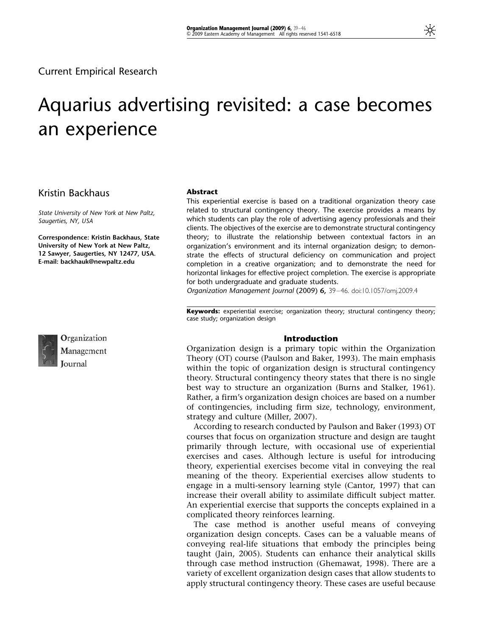# Aquarius advertising revisited: a case becomes an experience

# Kristin Backhaus

State University of New York at New Paltz, Saugerties, NY, USA

Correspondence: Kristin Backhaus, State University of New York at New Paltz, 12 Sawyer, Saugerties, NY 12477, USA. E-mail: backhauk@newpaltz.edu



Organization Management **Journal** 

#### Abstract

This experiential exercise is based on a traditional organization theory case related to structural contingency theory. The exercise provides a means by which students can play the role of advertising agency professionals and their clients. The objectives of the exercise are to demonstrate structural contingency theory; to illustrate the relationship between contextual factors in an organization's environment and its internal organization design; to demonstrate the effects of structural deficiency on communication and project completion in a creative organization; and to demonstrate the need for horizontal linkages for effective project completion. The exercise is appropriate for both undergraduate and graduate students.

Organization Management Journal (2009) 6, 39–46. doi:10.1057/omj.2009.4

Keywords: experiential exercise; organization theory; structural contingency theory; case study; organization design

#### Introduction

Organization design is a primary topic within the Organization Theory (OT) course (Paulson and Baker, 1993). The main emphasis within the topic of organization design is structural contingency theory. Structural contingency theory states that there is no single best way to structure an organization (Burns and Stalker, 1961). Rather, a firm's organization design choices are based on a number of contingencies, including firm size, technology, environment, strategy and culture (Miller, 2007).

According to research conducted by Paulson and Baker (1993) OT courses that focus on organization structure and design are taught primarily through lecture, with occasional use of experiential exercises and cases. Although lecture is useful for introducing theory, experiential exercises become vital in conveying the real meaning of the theory. Experiential exercises allow students to engage in a multi-sensory learning style (Cantor, 1997) that can increase their overall ability to assimilate difficult subject matter. An experiential exercise that supports the concepts explained in a complicated theory reinforces learning.

The case method is another useful means of conveying organization design concepts. Cases can be a valuable means of conveying real-life situations that embody the principles being taught (Jain, 2005). Students can enhance their analytical skills through case method instruction (Ghemawat, 1998). There are a variety of excellent organization design cases that allow students to apply structural contingency theory. These cases are useful because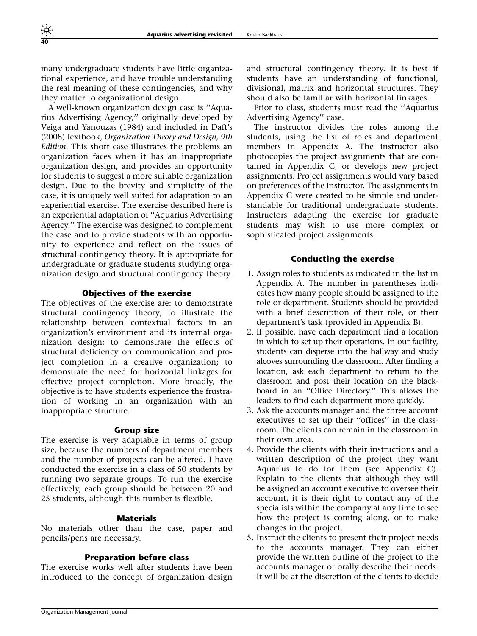many undergraduate students have little organizational experience, and have trouble understanding the real meaning of these contingencies, and why they matter to organizational design.

A well-known organization design case is ''Aquarius Advertising Agency,'' originally developed by Veiga and Yanouzas (1984) and included in Daft's (2008) textbook, Organization Theory and Design, 9th Edition. This short case illustrates the problems an organization faces when it has an inappropriate organization design, and provides an opportunity for students to suggest a more suitable organization design. Due to the brevity and simplicity of the case, it is uniquely well suited for adaptation to an experiential exercise. The exercise described here is an experiential adaptation of ''Aquarius Advertising Agency.'' The exercise was designed to complement the case and to provide students with an opportunity to experience and reflect on the issues of structural contingency theory. It is appropriate for undergraduate or graduate students studying organization design and structural contingency theory.

#### Objectives of the exercise

The objectives of the exercise are: to demonstrate structural contingency theory; to illustrate the relationship between contextual factors in an organization's environment and its internal organization design; to demonstrate the effects of structural deficiency on communication and project completion in a creative organization; to demonstrate the need for horizontal linkages for effective project completion. More broadly, the objective is to have students experience the frustration of working in an organization with an inappropriate structure.

#### Group size

The exercise is very adaptable in terms of group size, because the numbers of department members and the number of projects can be altered. I have conducted the exercise in a class of 50 students by running two separate groups. To run the exercise effectively, each group should be between 20 and 25 students, although this number is flexible.

#### **Materials**

No materials other than the case, paper and pencils/pens are necessary.

# Preparation before class

The exercise works well after students have been introduced to the concept of organization design and structural contingency theory. It is best if students have an understanding of functional, divisional, matrix and horizontal structures. They should also be familiar with horizontal linkages.

Prior to class, students must read the ''Aquarius Advertising Agency'' case.

The instructor divides the roles among the students, using the list of roles and department members in Appendix A. The instructor also photocopies the project assignments that are contained in Appendix C, or develops new project assignments. Project assignments would vary based on preferences of the instructor. The assignments in Appendix C were created to be simple and understandable for traditional undergraduate students. Instructors adapting the exercise for graduate students may wish to use more complex or sophisticated project assignments.

#### Conducting the exercise

- 1. Assign roles to students as indicated in the list in Appendix A. The number in parentheses indicates how many people should be assigned to the role or department. Students should be provided with a brief description of their role, or their department's task (provided in Appendix B).
- 2. If possible, have each department find a location in which to set up their operations. In our facility, students can disperse into the hallway and study alcoves surrounding the classroom. After finding a location, ask each department to return to the classroom and post their location on the blackboard in an ''Office Directory.'' This allows the leaders to find each department more quickly.
- 3. Ask the accounts manager and the three account executives to set up their ''offices'' in the classroom. The clients can remain in the classroom in their own area.
- 4. Provide the clients with their instructions and a written description of the project they want Aquarius to do for them (see Appendix C). Explain to the clients that although they will be assigned an account executive to oversee their account, it is their right to contact any of the specialists within the company at any time to see how the project is coming along, or to make changes in the project.
- 5. Instruct the clients to present their project needs to the accounts manager. They can either provide the written outline of the project to the accounts manager or orally describe their needs. It will be at the discretion of the clients to decide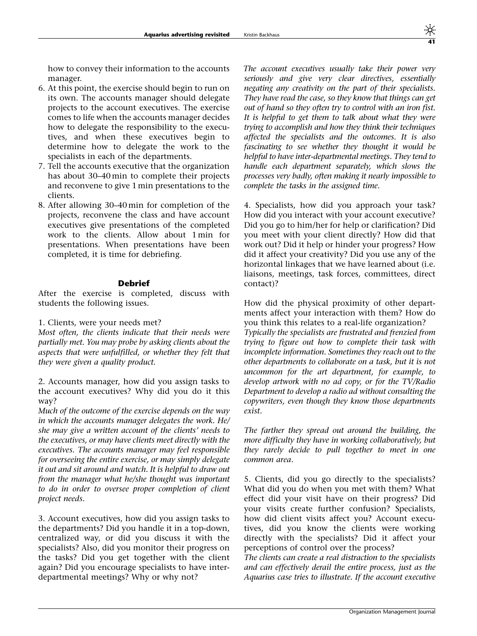how to convey their information to the accounts manager.

- 6. At this point, the exercise should begin to run on its own. The accounts manager should delegate projects to the account executives. The exercise comes to life when the accounts manager decides how to delegate the responsibility to the executives, and when these executives begin to determine how to delegate the work to the specialists in each of the departments.
- 7. Tell the accounts executive that the organization has about 30–40 min to complete their projects and reconvene to give 1 min presentations to the clients.
- 8. After allowing 30–40 min for completion of the projects, reconvene the class and have account executives give presentations of the completed work to the clients. Allow about 1 min for presentations. When presentations have been completed, it is time for debriefing.

#### Debrief

After the exercise is completed, discuss with students the following issues.

1. Clients, were your needs met?

Most often, the clients indicate that their needs were partially met. You may probe by asking clients about the aspects that were unfulfilled, or whether they felt that they were given a quality product.

2. Accounts manager, how did you assign tasks to the account executives? Why did you do it this way?

Much of the outcome of the exercise depends on the way in which the accounts manager delegates the work. He/ she may give a written account of the clients' needs to the executives, or may have clients meet directly with the executives. The accounts manager may feel responsible for overseeing the entire exercise, or may simply delegate it out and sit around and watch. It is helpful to draw out from the manager what he/she thought was important to do in order to oversee proper completion of client project needs.

3. Account executives, how did you assign tasks to the departments? Did you handle it in a top-down, centralized way, or did you discuss it with the specialists? Also, did you monitor their progress on the tasks? Did you get together with the client again? Did you encourage specialists to have interdepartmental meetings? Why or why not?

The account executives usually take their power very seriously and give very clear directives, essentially negating any creativity on the part of their specialists. They have read the case, so they know that things can get out of hand so they often try to control with an iron fist. It is helpful to get them to talk about what they were trying to accomplish and how they think their techniques affected the specialists and the outcomes. It is also fascinating to see whether they thought it would be helpful to have inter-departmental meetings. They tend to handle each department separately, which slows the processes very badly, often making it nearly impossible to complete the tasks in the assigned time.

4. Specialists, how did you approach your task? How did you interact with your account executive? Did you go to him/her for help or clarification? Did you meet with your client directly? How did that work out? Did it help or hinder your progress? How did it affect your creativity? Did you use any of the horizontal linkages that we have learned about (i.e. liaisons, meetings, task forces, committees, direct contact)?

How did the physical proximity of other departments affect your interaction with them? How do you think this relates to a real-life organization? Typically the specialists are frustrated and frenzied from trying to figure out how to complete their task with incomplete information. Sometimes they reach out to the other departments to collaborate on a task, but it is not uncommon for the art department, for example, to develop artwork with no ad copy, or for the TV/Radio Department to develop a radio ad without consulting the copywriters, even though they know those departments exist.

The farther they spread out around the building, the more difficulty they have in working collaboratively, but they rarely decide to pull together to meet in one common area.

5. Clients, did you go directly to the specialists? What did you do when you met with them? What effect did your visit have on their progress? Did your visits create further confusion? Specialists, how did client visits affect you? Account executives, did you know the clients were working directly with the specialists? Did it affect your perceptions of control over the process?

The clients can create a real distraction to the specialists and can effectively derail the entire process, just as the Aquarius case tries to illustrate. If the account executive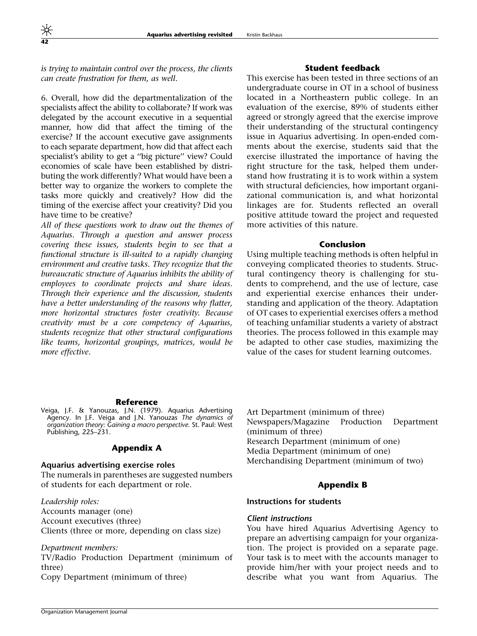is trying to maintain control over the process, the clients can create frustration for them, as well.

6. Overall, how did the departmentalization of the specialists affect the ability to collaborate? If work was delegated by the account executive in a sequential manner, how did that affect the timing of the exercise? If the account executive gave assignments to each separate department, how did that affect each specialist's ability to get a ''big picture'' view? Could economies of scale have been established by distributing the work differently? What would have been a better way to organize the workers to complete the tasks more quickly and creatively? How did the timing of the exercise affect your creativity? Did you have time to be creative?

All of these questions work to draw out the themes of Aquarius. Through a question and answer process covering these issues, students begin to see that a functional structure is ill-suited to a rapidly changing environment and creative tasks. They recognize that the bureaucratic structure of Aquarius inhibits the ability of employees to coordinate projects and share ideas. Through their experience and the discussion, students have a better understanding of the reasons why flatter, more horizontal structures foster creativity. Because creativity must be a core competency of Aquarius, students recognize that other structural configurations like teams, horizontal groupings, matrices, would be more effective.

#### Student feedback

This exercise has been tested in three sections of an undergraduate course in OT in a school of business located in a Northeastern public college. In an evaluation of the exercise, 89% of students either agreed or strongly agreed that the exercise improve their understanding of the structural contingency issue in Aquarius advertising. In open-ended comments about the exercise, students said that the exercise illustrated the importance of having the right structure for the task, helped them understand how frustrating it is to work within a system with structural deficiencies, how important organizational communication is, and what horizontal linkages are for. Students reflected an overall positive attitude toward the project and requested more activities of this nature.

#### Conclusion

Using multiple teaching methods is often helpful in conveying complicated theories to students. Structural contingency theory is challenging for students to comprehend, and the use of lecture, case and experiential exercise enhances their understanding and application of the theory. Adaptation of OT cases to experiential exercises offers a method of teaching unfamiliar students a variety of abstract theories. The process followed in this example may be adapted to other case studies, maximizing the value of the cases for student learning outcomes.

#### Reference

Veiga, J.F. & Yanouzas, J.N. (1979). Aquarius Advertising Agency. In J.F. Veiga and J.N. Yanouzas The dynamics of organization theory: Gaining a macro perspective. St. Paul: West Publishing, 225–231.

#### Appendix A

#### Aquarius advertising exercise roles

The numerals in parentheses are suggested numbers of students for each department or role.

Leadership roles:

Accounts manager (one) Account executives (three) Clients (three or more, depending on class size)

#### Department members:

TV/Radio Production Department (minimum of three) Copy Department (minimum of three)

Art Department (minimum of three) Newspapers/Magazine Production Department (minimum of three) Research Department (minimum of one) Media Department (minimum of one) Merchandising Department (minimum of two)

#### Appendix B

# Instructions for students

#### Client instructions

You have hired Aquarius Advertising Agency to prepare an advertising campaign for your organization. The project is provided on a separate page. Your task is to meet with the accounts manager to provide him/her with your project needs and to describe what you want from Aquarius. The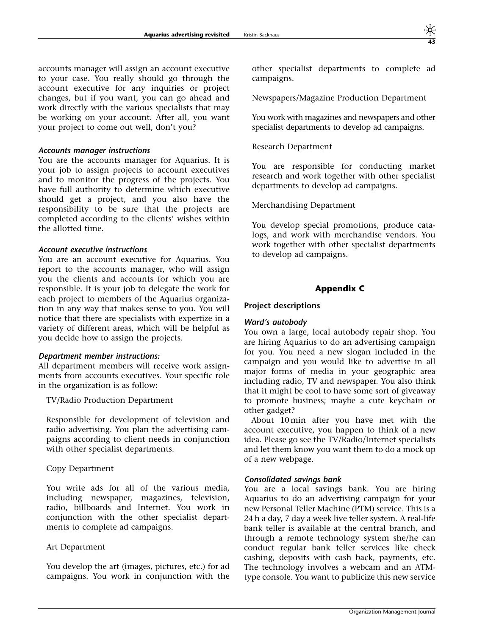accounts manager will assign an account executive to your case. You really should go through the account executive for any inquiries or project changes, but if you want, you can go ahead and work directly with the various specialists that may be working on your account. After all, you want your project to come out well, don't you?

#### Accounts manager instructions

You are the accounts manager for Aquarius. It is your job to assign projects to account executives and to monitor the progress of the projects. You have full authority to determine which executive should get a project, and you also have the responsibility to be sure that the projects are completed according to the clients' wishes within the allotted time.

#### Account executive instructions

You are an account executive for Aquarius. You report to the accounts manager, who will assign you the clients and accounts for which you are responsible. It is your job to delegate the work for each project to members of the Aquarius organization in any way that makes sense to you. You will notice that there are specialists with expertize in a variety of different areas, which will be helpful as you decide how to assign the projects.

# Department member instructions:

All department members will receive work assignments from accounts executives. Your specific role in the organization is as follow:

TV/Radio Production Department

Responsible for development of television and radio advertising. You plan the advertising campaigns according to client needs in conjunction with other specialist departments.

# Copy Department

You write ads for all of the various media, including newspaper, magazines, television, radio, billboards and Internet. You work in conjunction with the other specialist departments to complete ad campaigns.

# Art Department

You develop the art (images, pictures, etc.) for ad campaigns. You work in conjunction with the other specialist departments to complete ad campaigns.

Newspapers/Magazine Production Department

You work with magazines and newspapers and other specialist departments to develop ad campaigns.

# Research Department

You are responsible for conducting market research and work together with other specialist departments to develop ad campaigns.

Merchandising Department

You develop special promotions, produce catalogs, and work with merchandise vendors. You work together with other specialist departments to develop ad campaigns.

# Appendix C

# Project descriptions

# Ward's autobody

You own a large, local autobody repair shop. You are hiring Aquarius to do an advertising campaign for you. You need a new slogan included in the campaign and you would like to advertise in all major forms of media in your geographic area including radio, TV and newspaper. You also think that it might be cool to have some sort of giveaway to promote business; maybe a cute keychain or other gadget?

About 10 min after you have met with the account executive, you happen to think of a new idea. Please go see the TV/Radio/Internet specialists and let them know you want them to do a mock up of a new webpage.

# Consolidated savings bank

You are a local savings bank. You are hiring Aquarius to do an advertising campaign for your new Personal Teller Machine (PTM) service. This is a 24 h a day, 7 day a week live teller system. A real-life bank teller is available at the central branch, and through a remote technology system she/he can conduct regular bank teller services like check cashing, deposits with cash back, payments, etc. The technology involves a webcam and an ATMtype console. You want to publicize this new service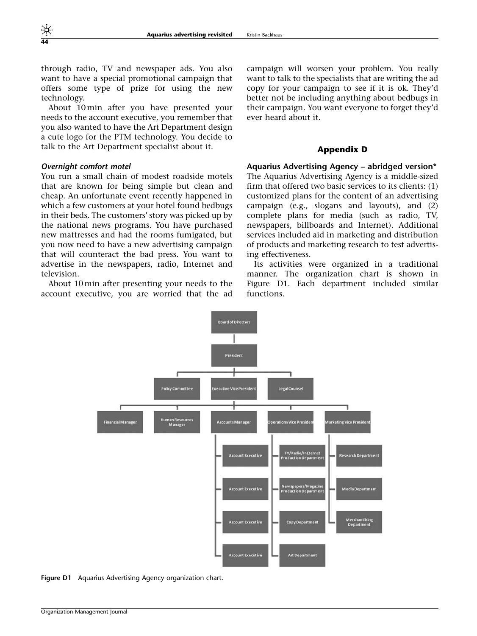through radio, TV and newspaper ads. You also want to have a special promotional campaign that offers some type of prize for using the new technology.

About 10 min after you have presented your needs to the account executive, you remember that you also wanted to have the Art Department design a cute logo for the PTM technology. You decide to talk to the Art Department specialist about it.

#### Overnight comfort motel

You run a small chain of modest roadside motels that are known for being simple but clean and cheap. An unfortunate event recently happened in which a few customers at your hotel found bedbugs in their beds. The customers' story was picked up by the national news programs. You have purchased new mattresses and had the rooms fumigated, but you now need to have a new advertising campaign that will counteract the bad press. You want to advertise in the newspapers, radio, Internet and television.

About 10 min after presenting your needs to the account executive, you are worried that the ad campaign will worsen your problem. You really want to talk to the specialists that are writing the ad copy for your campaign to see if it is ok. They'd better not be including anything about bedbugs in their campaign. You want everyone to forget they'd ever heard about it.

### Appendix D

Aquarius Advertising Agency – abridged version\* The Aquarius Advertising Agency is a middle-sized firm that offered two basic services to its clients: (1) customized plans for the content of an advertising campaign (e.g., slogans and layouts), and (2) complete plans for media (such as radio, TV, newspapers, billboards and Internet). Additional services included aid in marketing and distribution of products and marketing research to test advertising effectiveness.

Its activities were organized in a traditional manner. The organization chart is shown in Figure D1. Each department included similar functions.



Figure D1 Aquarius Advertising Agency organization chart.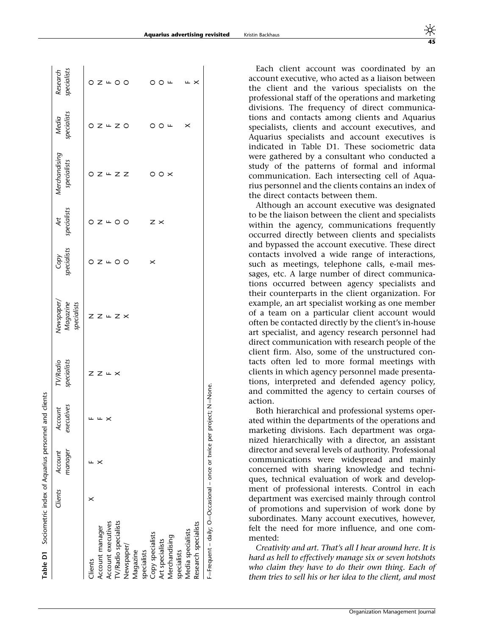| Table D1 Sociometric index of Aquarius personnel                      |         |                    | and clients           |                         |                                       |                     |                                         |                              |                        |                                 |
|-----------------------------------------------------------------------|---------|--------------------|-----------------------|-------------------------|---------------------------------------|---------------------|-----------------------------------------|------------------------------|------------------------|---------------------------------|
|                                                                       | Clients | manager<br>Account | executives<br>Account | specialists<br>TV/Radio | Newspaper/<br>Magazine<br>specialists | specialists<br>Copy | specialists<br>$\overline{\mathcal{H}}$ | Merchandising<br>specialists | specialists<br>Media   | specialists<br>Research         |
| Clients                                                               |         |                    |                       | z                       | z                                     |                     |                                         |                              |                        |                                 |
| Account manager                                                       |         |                    | ட                     | $\mathbb Z$             | z                                     | z                   | z                                       | z                            | z                      |                                 |
| Account executives                                                    |         |                    | $\times$              | $- \times$              | $\mathsf{L}\mathsf{L}$                |                     |                                         |                              |                        |                                 |
| TV/Radio specialists                                                  |         |                    |                       |                         | z                                     | $\cup$ 0 0          | $\mathsf{L}$ O                          | $-$ Z Z                      | ΨZ                     | $0Z + 00$                       |
|                                                                       |         |                    |                       |                         |                                       |                     | $\circ$                                 |                              | O                      |                                 |
| Newspaper/<br>Magazine                                                |         |                    |                       |                         |                                       |                     |                                         |                              |                        |                                 |
| specialists                                                           |         |                    |                       |                         |                                       |                     |                                         |                              |                        |                                 |
| Copy specialists                                                      |         |                    |                       |                         |                                       | ×                   | $z \times$                              | $\circ$                      | 0                      | 0                               |
| Art specialists<br>Merchandising                                      |         |                    |                       |                         |                                       |                     |                                         | $\circ$ $\times$             | $\circ$                | O                               |
|                                                                       |         |                    |                       |                         |                                       |                     |                                         |                              | $\mathsf{L}\mathsf{L}$ | $\mathrel{\sqcup\!\!\!\!\perp}$ |
| specialists                                                           |         |                    |                       |                         |                                       |                     |                                         |                              |                        |                                 |
| Media specialists                                                     |         |                    |                       |                         |                                       |                     |                                         |                              | ×                      | $- \times$                      |
| Research specialists                                                  |         |                    |                       |                         |                                       |                     |                                         |                              |                        |                                 |
| F=Frequent - daily; O=Occasional - once or twice per project; N=None. |         |                    |                       |                         |                                       |                     |                                         |                              |                        |                                 |

Each client account was coordinated by an account executive, who acted as a liaison between the client and the various specialists on the professional staff of the operations and marketing divisions. The frequency of direct communications and contacts among clients and Aquarius specialists, clients and account executives, and Aquarius specialists and account executives is indicated in Table D1. These sociometric data were gathered by a consultant who conducted a study of the patterns of formal and informal communication. Each intersecting cell of Aquarius personnel and the clients contains an index of

the direct contacts between them.

Although an account executive was designated to be the liaison between the client and specialists within the agency, communications frequently occurred directly between clients and specialists and bypassed the account executive. These direct contacts involved a wide range of interactions, such as meetings, telephone calls, e-mail messages, etc. A large number of direct communications occurred between agency specialists and their counterparts in the client organization. For example, an art specialist working as one member of a team on a particular client account would often be contacted directly by the client's in-house art specialist, and agency research personnel had direct communication with research people of the client firm. Also, some of the unstructured contacts often led to more formal meetings with clients in which agency personnel made presentations, interpreted and defended agency policy, and committed the agency to certain courses of action.

Both hierarchical and professional systems operated within the departments of the operations and marketing divisions. Each department was organized hierarchically with a director, an assistant director and several levels of authority. Professional communications were widespread and mainly concerned with sharing knowledge and techniques, technical evaluation of work and development of professional interests. Control in each department was exercised mainly through control of promotions and supervision of work done by subordinates. Many account executives, however, felt the need for more influence, and one commented:

Creativity and art. That's all I hear around here. It is hard as hell to effectively manage six or seven hotshots who claim they have to do their own thing. Each of them tries to sell his or her idea to the client, and most